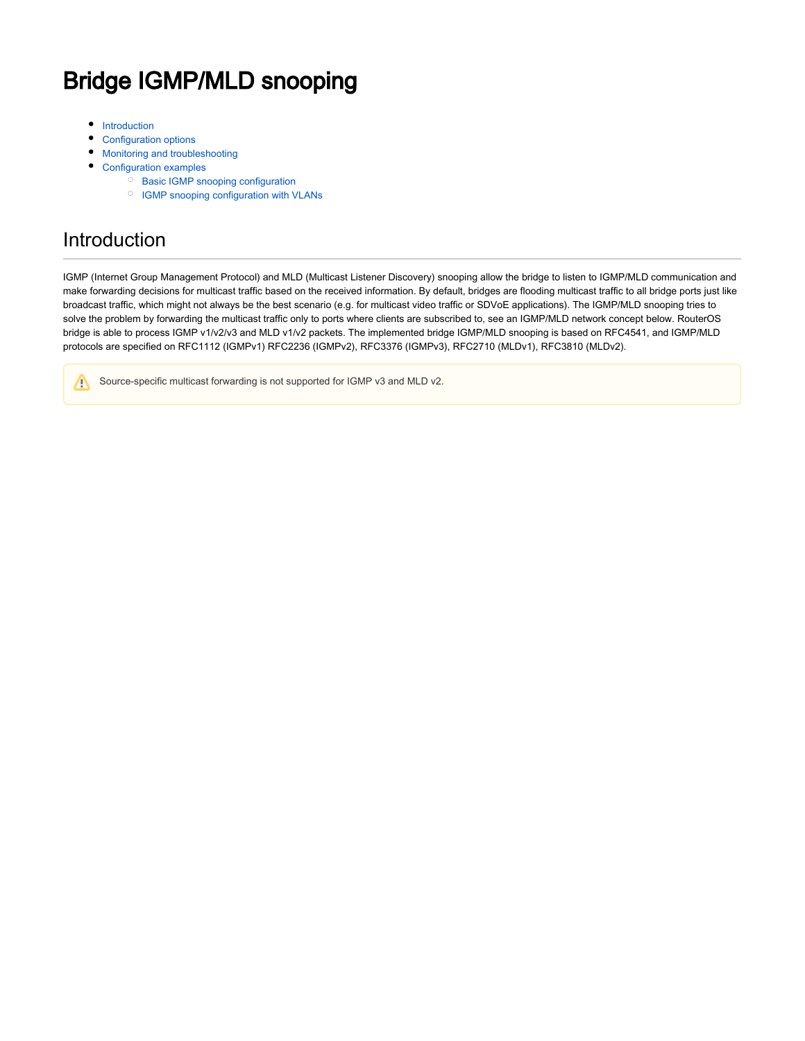# Bridge IGMP/MLD snooping

- ٠ [Introduction](#page-0-0)
- [Configuration options](#page-1-0)
- [Monitoring and troubleshooting](#page-3-0)
- [Configuration examples](#page-4-0)
	- <sup>O</sup> [Basic IGMP snooping configuration](#page-4-1)
	- <sup>O</sup> [IGMP snooping configuration with VLANs](#page-5-0)

## <span id="page-0-0"></span>Introduction

IGMP (Internet Group Management Protocol) and MLD (Multicast Listener Discovery) snooping allow the bridge to listen to IGMP/MLD communication and make forwarding decisions for multicast traffic based on the received information. By default, bridges are flooding multicast traffic to all bridge ports just like broadcast traffic, which might not always be the best scenario (e.g. for multicast video traffic or SDVoE applications). The IGMP/MLD snooping tries to solve the problem by forwarding the multicast traffic only to ports where clients are subscribed to, see an IGMP/MLD network concept below. RouterOS bridge is able to process IGMP v1/v2/v3 and MLD v1/v2 packets. The implemented bridge IGMP/MLD snooping is based on RFC4541, and IGMP/MLD protocols are specified on RFC1112 (IGMPv1) RFC2236 (IGMPv2), RFC3376 (IGMPv3), RFC2710 (MLDv1), RFC3810 (MLDv2).

Source-specific multicast forwarding is not supported for IGMP v3 and MLD v2.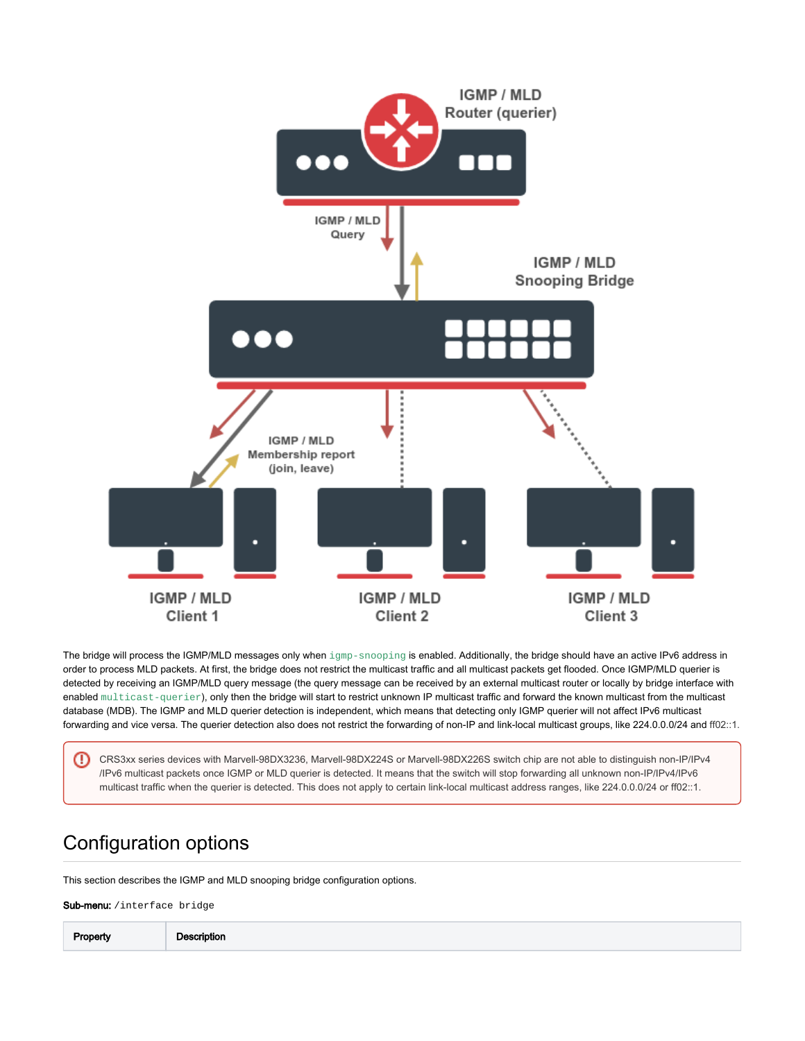

The bridge will process the IGMP/MLD messages only when igmp-snooping is enabled. Additionally, the bridge should have an active IPv6 address in order to process MLD packets. At first, the bridge does not restrict the multicast traffic and all multicast packets get flooded. Once IGMP/MLD querier is detected by receiving an IGMP/MLD query message (the query message can be received by an external multicast router or locally by bridge interface with enabled multicast-querier), only then the bridge will start to restrict unknown IP multicast traffic and forward the known multicast from the multicast database (MDB). The IGMP and MLD querier detection is independent, which means that detecting only IGMP querier will not affect IPv6 multicast forwarding and vice versa. The querier detection also does not restrict the forwarding of non-IP and link-local multicast groups, like 224.0.0.0/24 and ff02::1.

⋒ CRS3xx series devices with Marvell-98DX3236, Marvell-98DX224S or Marvell-98DX226S switch chip are not able to distinguish non-IP/IPv4 /IPv6 multicast packets once IGMP or MLD querier is detected. It means that the switch will stop forwarding all unknown non-IP/IPv4/IPv6 multicast traffic when the querier is detected. This does not apply to certain link-local multicast address ranges, like 224.0.0.0/24 or ff02::1.

## <span id="page-1-0"></span>Configuration options

This section describes the IGMP and MLD snooping bridge configuration options.

Sub-menu: /interface bridge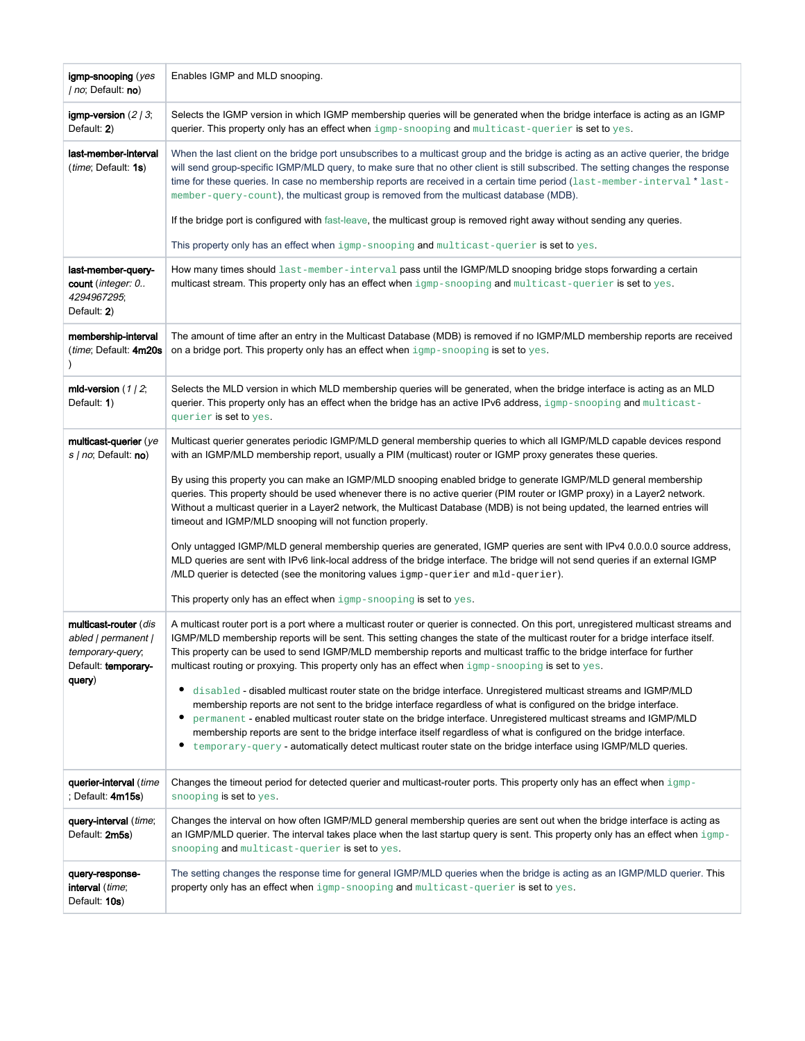| igmp-snooping (yes<br>/ no; Default: no)                                                          | Enables IGMP and MLD snooping.                                                                                                                                                                                                                                                                                                                                                                                                                                                                                                                                                                                                                                                                                                                                                                                                                                                                                                                                                                                                                                                                                             |
|---------------------------------------------------------------------------------------------------|----------------------------------------------------------------------------------------------------------------------------------------------------------------------------------------------------------------------------------------------------------------------------------------------------------------------------------------------------------------------------------------------------------------------------------------------------------------------------------------------------------------------------------------------------------------------------------------------------------------------------------------------------------------------------------------------------------------------------------------------------------------------------------------------------------------------------------------------------------------------------------------------------------------------------------------------------------------------------------------------------------------------------------------------------------------------------------------------------------------------------|
| igmp-version $(2/3;$<br>Default: 2)                                                               | Selects the IGMP version in which IGMP membership queries will be generated when the bridge interface is acting as an IGMP<br>querier. This property only has an effect when $\text{igmp-snopping}$ and $\text{multicast-querier}$ is set to yes.                                                                                                                                                                                                                                                                                                                                                                                                                                                                                                                                                                                                                                                                                                                                                                                                                                                                          |
| last-member-interval<br><i>(time</i> ; Default: <b>1s)</b>                                        | When the last client on the bridge port unsubscribes to a multicast group and the bridge is acting as an active querier, the bridge<br>will send group-specific IGMP/MLD query, to make sure that no other client is still subscribed. The setting changes the response<br>time for these queries. In case no membership reports are received in a certain time period (last-member-interval * last-<br>member-query-count), the multicast group is removed from the multicast database (MDB).<br>If the bridge port is configured with fast-leave, the multicast group is removed right away without sending any queries.<br>This property only has an effect when igmp-snooping and multicast-querier is set to yes.                                                                                                                                                                                                                                                                                                                                                                                                     |
| last-member-query-<br>count ( <i>integer: 0</i><br>4294967295;<br>Default: 2)                     | How many times should last-member-interval pass until the IGMP/MLD snooping bridge stops forwarding a certain<br>multicast stream. This property only has an effect when igmp-snooping and multicast-querier is set to yes.                                                                                                                                                                                                                                                                                                                                                                                                                                                                                                                                                                                                                                                                                                                                                                                                                                                                                                |
| membership-interval<br>(time; Default: 4m20s)                                                     | The amount of time after an entry in the Multicast Database (MDB) is removed if no IGMP/MLD membership reports are received<br>on a bridge port. This property only has an effect when $\text{jump-nooping}$ is set to yes.                                                                                                                                                                                                                                                                                                                                                                                                                                                                                                                                                                                                                                                                                                                                                                                                                                                                                                |
| mld-version $(1/2,$<br>Default: 1)                                                                | Selects the MLD version in which MLD membership queries will be generated, when the bridge interface is acting as an MLD<br>querier. This property only has an effect when the bridge has an active IPv6 address, igmp-snooping and multicast-<br>querier is set to yes.                                                                                                                                                                                                                                                                                                                                                                                                                                                                                                                                                                                                                                                                                                                                                                                                                                                   |
| multicast-querier (ye<br>s / no; Default: no)                                                     | Multicast querier generates periodic IGMP/MLD general membership queries to which all IGMP/MLD capable devices respond<br>with an IGMP/MLD membership report, usually a PIM (multicast) router or IGMP proxy generates these queries.<br>By using this property you can make an IGMP/MLD snooping enabled bridge to generate IGMP/MLD general membership<br>queries. This property should be used whenever there is no active querier (PIM router or IGMP proxy) in a Layer2 network.<br>Without a multicast querier in a Layer2 network, the Multicast Database (MDB) is not being updated, the learned entries will<br>timeout and IGMP/MLD snooping will not function properly.<br>Only untagged IGMP/MLD general membership queries are generated, IGMP queries are sent with IPv4 0.0.0.0 source address,<br>MLD queries are sent with IPv6 link-local address of the bridge interface. The bridge will not send queries if an external IGMP<br>/MLD querier is detected (see the monitoring values igmp-querier and mld-querier).<br>This property only has an effect when igmp-snooping is set to yes.              |
| multicast-router (dis<br>abled   permanent  <br>temporary-query;<br>Default: temporary-<br>query) | A multicast router port is a port where a multicast router or querier is connected. On this port, unregistered multicast streams and<br>IGMP/MLD membership reports will be sent. This setting changes the state of the multicast router for a bridge interface itself.<br>This property can be used to send IGMP/MLD membership reports and multicast traffic to the bridge interface for further<br>multicast routing or proxying. This property only has an effect when igmp-snooping is set to yes.<br>disabled - disabled multicast router state on the bridge interface. Unregistered multicast streams and IGMP/MLD<br>٠<br>membership reports are not sent to the bridge interface regardless of what is configured on the bridge interface.<br>٠<br>permanent - enabled multicast router state on the bridge interface. Unregistered multicast streams and IGMP/MLD<br>membership reports are sent to the bridge interface itself regardless of what is configured on the bridge interface.<br>٠<br>temporary-query - automatically detect multicast router state on the bridge interface using IGMP/MLD queries. |
| querier-interval (time<br>; Default: 4m15s)                                                       | Changes the timeout period for detected querier and multicast-router ports. This property only has an effect when igmp-<br>snooping is set to yes.                                                                                                                                                                                                                                                                                                                                                                                                                                                                                                                                                                                                                                                                                                                                                                                                                                                                                                                                                                         |
| query-interval (time;<br>Default: 2m5s)                                                           | Changes the interval on how often IGMP/MLD general membership queries are sent out when the bridge interface is acting as<br>an IGMP/MLD querier. The interval takes place when the last startup query is sent. This property only has an effect when igmp-<br>snooping and multicast-querier is set to yes.                                                                                                                                                                                                                                                                                                                                                                                                                                                                                                                                                                                                                                                                                                                                                                                                               |
| query-response-<br><b>interval</b> ( <i>time</i> ;<br>Default: 10s)                               | The setting changes the response time for general IGMP/MLD queries when the bridge is acting as an IGMP/MLD querier. This<br>property only has an effect when igmp-snooping and multicast-querier is set to yes.                                                                                                                                                                                                                                                                                                                                                                                                                                                                                                                                                                                                                                                                                                                                                                                                                                                                                                           |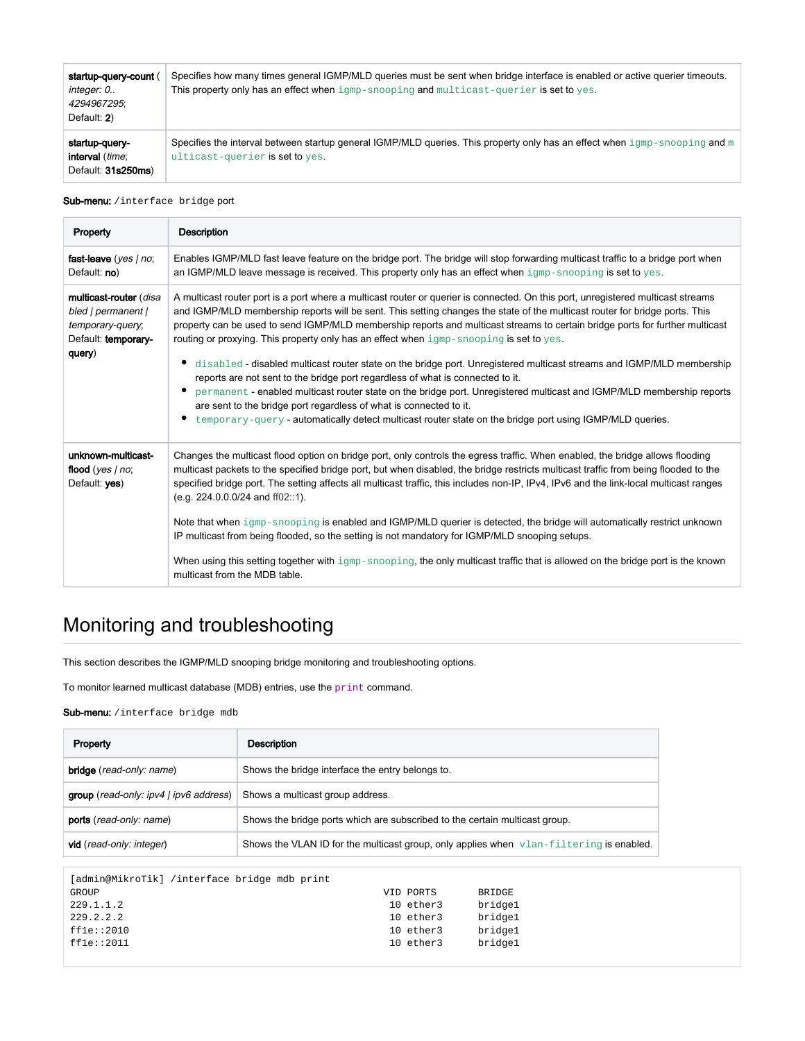| startup-query-count<br>integer: 0<br>4294967295:<br>Default: 2) | Specifies how many times general IGMP/MLD queries must be sent when bridge interface is enabled or active querier timeouts.<br>This property only has an effect when igmp-snooping and multicast-querier is set to yes. |
|-----------------------------------------------------------------|-------------------------------------------------------------------------------------------------------------------------------------------------------------------------------------------------------------------------|
| startup-query-<br><b>interval</b> (time;<br>Default: 31s250ms)  | Specifies the interval between startup general IGMP/MLD queries. This property only has an effect when $\text{i}_{\text{qmp-sm}}$ and $\text{m}$<br>ulticast-querier is set to yes.                                     |

### Sub-menu: / interface bridge port

| Property                                                                                          | <b>Description</b>                                                                                                                                                                                                                                                                                                                                                                                                                                                                                                                                                                                                                                                                                                                                                                                                                                                                                                                                                                                               |
|---------------------------------------------------------------------------------------------------|------------------------------------------------------------------------------------------------------------------------------------------------------------------------------------------------------------------------------------------------------------------------------------------------------------------------------------------------------------------------------------------------------------------------------------------------------------------------------------------------------------------------------------------------------------------------------------------------------------------------------------------------------------------------------------------------------------------------------------------------------------------------------------------------------------------------------------------------------------------------------------------------------------------------------------------------------------------------------------------------------------------|
| fast-leave (yes   no;<br>Default: no)                                                             | Enables IGMP/MLD fast leave feature on the bridge port. The bridge will stop forwarding multicast traffic to a bridge port when<br>an IGMP/MLD leave message is received. This property only has an effect when $\text{i}_{\text{qmp-sm}}$ snooping is set to yes.                                                                                                                                                                                                                                                                                                                                                                                                                                                                                                                                                                                                                                                                                                                                               |
| multicast-router (disa<br>bled   permanent  <br>temporary-query,<br>Default: temporary-<br>query) | A multicast router port is a port where a multicast router or querier is connected. On this port, unregistered multicast streams<br>and IGMP/MLD membership reports will be sent. This setting changes the state of the multicast router for bridge ports. This<br>property can be used to send IGMP/MLD membership reports and multicast streams to certain bridge ports for further multicast<br>routing or proxying. This property only has an effect when igmp-snooping is set to yes.<br>disabled - disabled multicast router state on the bridge port. Unregistered multicast streams and IGMP/MLD membership<br>reports are not sent to the bridge port regardless of what is connected to it.<br>permanent - enabled multicast router state on the bridge port. Unregistered multicast and IGMP/MLD membership reports<br>are sent to the bridge port regardless of what is connected to it.<br>temporary-query - automatically detect multicast router state on the bridge port using IGMP/MLD queries. |
| unknown-multicast-<br>flood (yes $ $ no;<br>Default: ves)                                         | Changes the multicast flood option on bridge port, only controls the egress traffic. When enabled, the bridge allows flooding<br>multicast packets to the specified bridge port, but when disabled, the bridge restricts multicast traffic from being flooded to the<br>specified bridge port. The setting affects all multicast traffic, this includes non-IP, IPv4, IPv6 and the link-local multicast ranges<br>$(e.g. 224.0.0.0/24$ and ff02::1).<br>Note that when igmp-snooping is enabled and IGMP/MLD querier is detected, the bridge will automatically restrict unknown<br>IP multicast from being flooded, so the setting is not mandatory for IGMP/MLD snooping setups.<br>When using this setting together with $\text{jump-snopping}$ , the only multicast traffic that is allowed on the bridge port is the known<br>multicast from the MDB table.                                                                                                                                                 |

## <span id="page-3-0"></span>Monitoring and troubleshooting

This section describes the IGMP/MLD snooping bridge monitoring and troubleshooting options.

To monitor learned multicast database (MDB) entries, use the print command.

Sub-menu: /interface bridge mdb

| Property                               | Description                                                                             |
|----------------------------------------|-----------------------------------------------------------------------------------------|
| <b>bridge</b> (read-only: name)        | Shows the bridge interface the entry belongs to.                                        |
| group (read-only: ipv4   ipv6 address) | Shows a multicast group address.                                                        |
| ports (read-only: name)                | Shows the bridge ports which are subscribed to the certain multicast group.             |
| vid (read-only: integer)               | Shows the VLAN ID for the multicast group, only applies when vlan-filtering is enabled. |

| [admin@MikroTik] /interface bridge mdb print |  |  |           |               |         |
|----------------------------------------------|--|--|-----------|---------------|---------|
| GROUP                                        |  |  | VID PORTS | <b>BRIDGE</b> |         |
| 229.1.1.2                                    |  |  | 10 ether3 |               | bridgel |
| 229.2.2.2                                    |  |  | 10 ether3 |               | bridge1 |
| ff1e::2010                                   |  |  | 10 ether3 |               | bridgel |
| ff1e::2011                                   |  |  | 10 ether3 |               | bridge1 |
|                                              |  |  |           |               |         |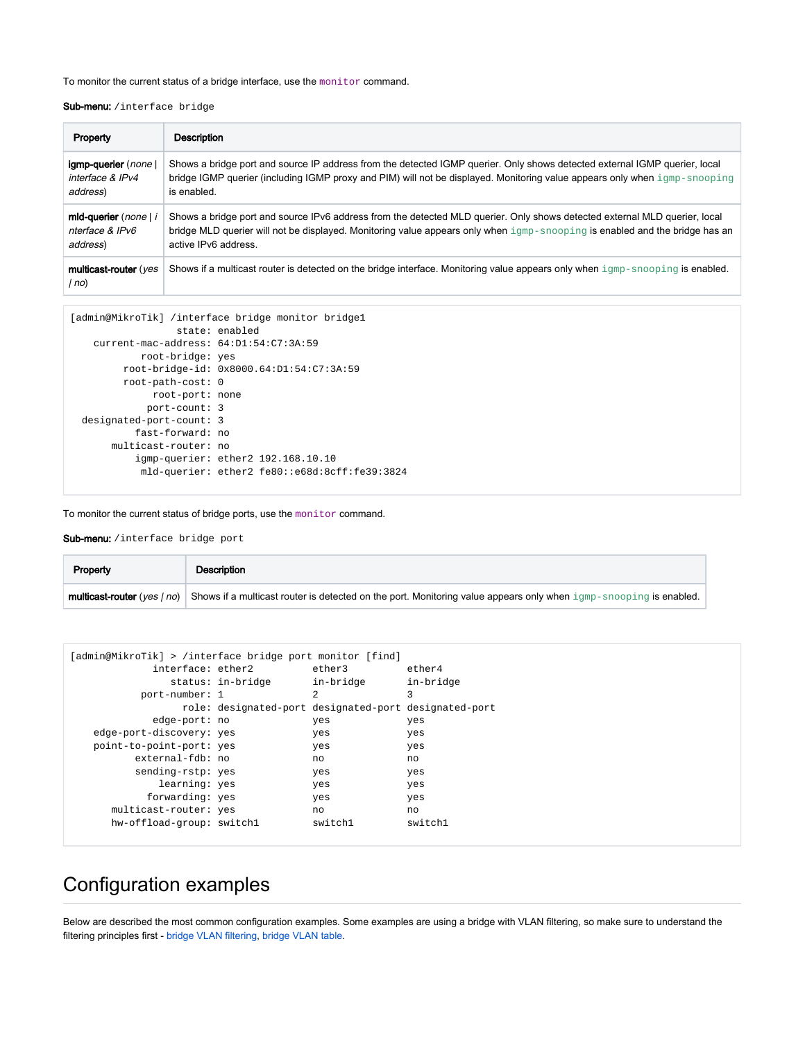## To monitor the current status of a bridge interface, use the monitor command.

## Sub-menu: /interface bridge

| Property                       | Description                                                                                                                           |
|--------------------------------|---------------------------------------------------------------------------------------------------------------------------------------|
| igmp-querier (none)            | Shows a bridge port and source IP address from the detected IGMP querier. Only shows detected external IGMP querier, local            |
| interface & IPv4               | bridge IGMP querier (including IGMP proxy and PIM) will not be displayed. Monitoring value appears only when igmp-snooping            |
| address)                       | is enabled.                                                                                                                           |
| mid-querier (none) i           | Shows a bridge port and source IPv6 address from the detected MLD querier. Only shows detected external MLD querier, local            |
| nterface & IPv6                | bridge MLD querier will not be displayed. Monitoring value appears only when igmp-snooping is enabled and the bridge has an           |
| address)                       | active IPv6 address.                                                                                                                  |
| multicast-router (yes<br>l no) | Shows if a multicast router is detected on the bridge interface. Monitoring value appears only when $\text{igm-snopping}$ is enabled. |

```
[admin@MikroTik] /interface bridge monitor bridge1
                  state: enabled
    current-mac-address: 64:D1:54:C7:3A:59
           root-bridge: yes
         root-bridge-id: 0x8000.64:D1:54:C7:3A:59
         root-path-cost: 0
              root-port: none
             port-count: 3
  designated-port-count: 3
           fast-forward: no
       multicast-router: no
           igmp-querier: ether2 192.168.10.10
            mld-querier: ether2 fe80::e68d:8cff:fe39:3824
```
To monitor the current status of bridge ports, use the monitor command.

Sub-menu: / interface bridge port

| Property | Description                                                                                                                                             |
|----------|---------------------------------------------------------------------------------------------------------------------------------------------------------|
|          | <b>multicast-router</b> (yes $ no $ ) Shows if a multicast router is detected on the port. Monitoring value appears only when igmp-snooping is enabled. |

| [admin@MikroTik] > /interface bridge port monitor [find] |                                                       |                |           |
|----------------------------------------------------------|-------------------------------------------------------|----------------|-----------|
| interface: ether2                                        |                                                       | ether3         | ether4    |
|                                                          | status: in-bridge                                     | in-bridge      | in-bridge |
| port-number: 1                                           |                                                       | $\mathfrak{D}$ | 3         |
|                                                          | role: designated-port designated-port designated-port |                |           |
| edge-port: no                                            |                                                       | yes            | yes       |
| edge-port-discovery: yes                                 |                                                       | yes            | yes       |
| point-to-point-port: yes                                 |                                                       | yes            | yes       |
| external-fdb: no                                         |                                                       | no             | no        |
| sending-rstp: yes                                        |                                                       | yes            | yes       |
| learning: yes                                            |                                                       | yes            | yes       |
| forwarding: yes                                          |                                                       | yes            | yes       |
| multicast-router: yes                                    |                                                       | no             | no        |
| hw-offload-group: switchl                                |                                                       | switch1        | switch1   |
|                                                          |                                                       |                |           |

## <span id="page-4-0"></span>Configuration examples

<span id="page-4-1"></span>Below are described the most common configuration examples. Some examples are using a bridge with VLAN filtering, so make sure to understand the filtering principles first - [bridge VLAN filtering](https://help.mikrotik.com/docs/display/ROS/Bridging+and+Switching#BridgingandSwitching-BridgeVLANFiltering), [bridge VLAN table](https://help.mikrotik.com/docs/display/ROS/Bridge+VLAN+Table).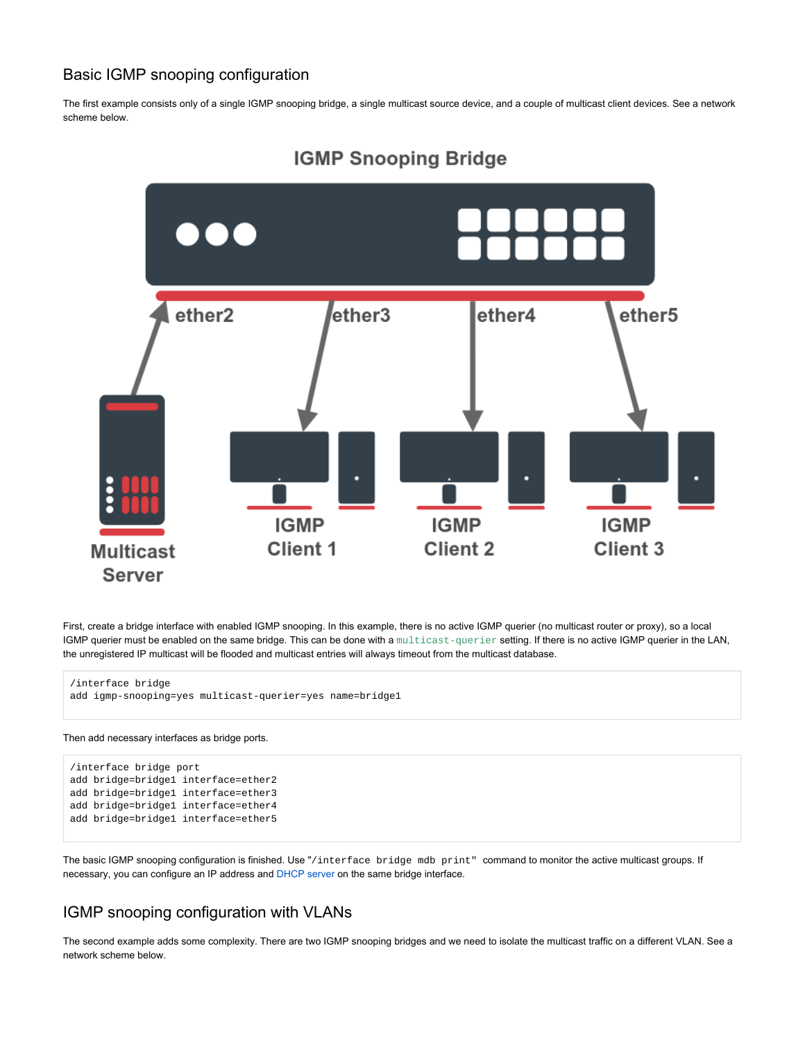## Basic IGMP snooping configuration

The first example consists only of a single IGMP snooping bridge, a single multicast source device, and a couple of multicast client devices. See a network scheme below.



## **IGMP Snooping Bridge**

First, create a bridge interface with enabled IGMP snooping. In this example, there is no active IGMP querier (no multicast router or proxy), so a local IGMP querier must be enabled on the same bridge. This can be done with a multicast-querier setting. If there is no active IGMP querier in the LAN, the unregistered IP multicast will be flooded and multicast entries will always timeout from the multicast database.

```
/interface bridge
add igmp-snooping=yes multicast-querier=yes name=bridge1
```
## Then add necessary interfaces as bridge ports.

```
/interface bridge port
add bridge=bridge1 interface=ether2
add bridge=bridge1 interface=ether3
add bridge=bridge1 interface=ether4
add bridge=bridge1 interface=ether5
```
The basic IGMP snooping configuration is finished. Use "/interface bridge mdb print" command to monitor the active multicast groups. If necessary, you can configure an IP address and [DHCP server](https://help.mikrotik.com/docs/display/ROS/DHCP#DHCP-ConfigurationExamples) on the same bridge interface.

## <span id="page-5-0"></span>IGMP snooping configuration with VLANs

The second example adds some complexity. There are two IGMP snooping bridges and we need to isolate the multicast traffic on a different VLAN. See a network scheme below.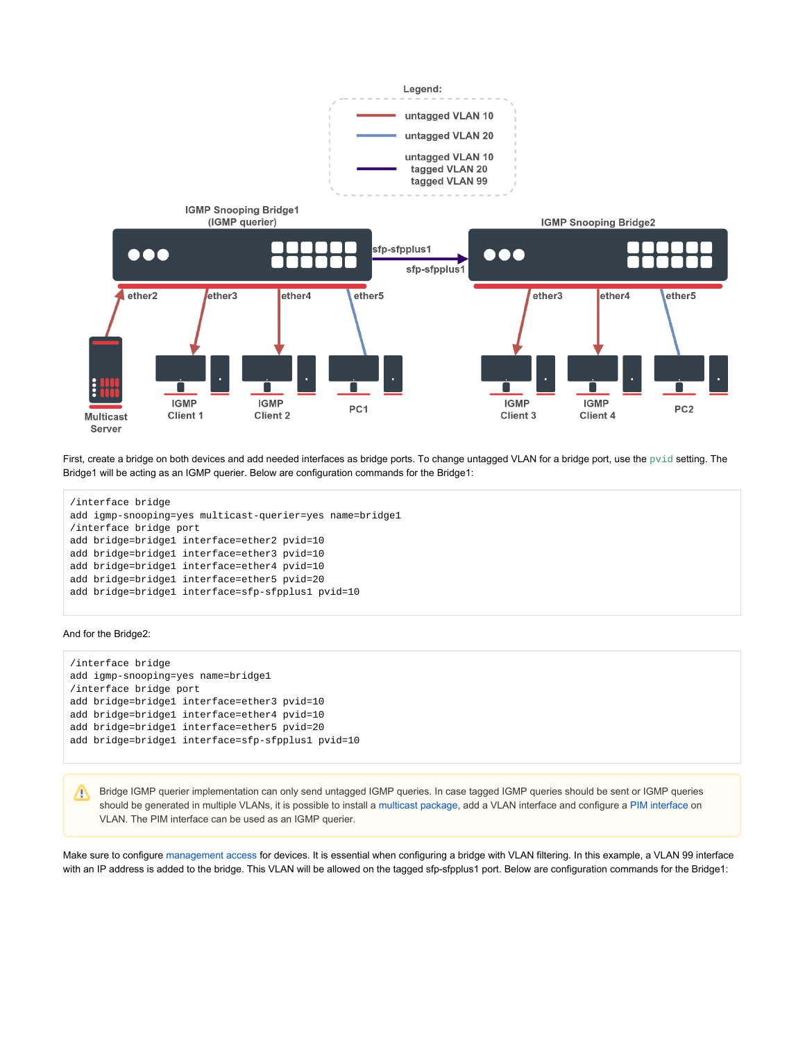

First, create a bridge on both devices and add needed interfaces as bridge ports. To change untagged VLAN for a bridge port, use the  $\text{pvid}$  setting. The Bridge1 will be acting as an IGMP querier. Below are configuration commands for the Bridge1:

```
/interface bridge
add igmp-snooping=yes multicast-querier=yes name=bridge1
/interface bridge port
add bridge=bridge1 interface=ether2 pvid=10
add bridge=bridge1 interface=ether3 pvid=10
add bridge=bridge1 interface=ether4 pvid=10
add bridge=bridge1 interface=ether5 pvid=20
add bridge=bridge1 interface=sfp-sfpplus1 pvid=10
```
### And for the Bridge2:

```
/interface bridge
add igmp-snooping=yes name=bridge1
/interface bridge port
add bridge=bridge1 interface=ether3 pvid=10
add bridge=bridge1 interface=ether4 pvid=10
add bridge=bridge1 interface=ether5 pvid=20
add bridge=bridge1 interface=sfp-sfpplus1 pvid=10
```
Bridge IGMP querier implementation can only send untagged IGMP queries. In case tagged IGMP queries should be sent or IGMP queries should be generated in multiple VLANs, it is possible to install a [multicast package](https://help.mikrotik.com/docs/display/ROS/Packages), add a VLAN interface and configure a [PIM interface](https://wiki.mikrotik.com/wiki/Manual:Routing/Multicast#Interfaces) on VLAN. The PIM interface can be used as an IGMP querier.

Make sure to configure [management access](https://help.mikrotik.com/docs/display/ROS/Bridging+and+Switching#BridgingandSwitching-Managementaccessconfiguration) for devices. It is essential when configuring a bridge with VLAN filtering. In this example, a VLAN 99 interface with an IP address is added to the bridge. This VLAN will be allowed on the tagged sfp-sfpplus1 port. Below are configuration commands for the Bridge1: